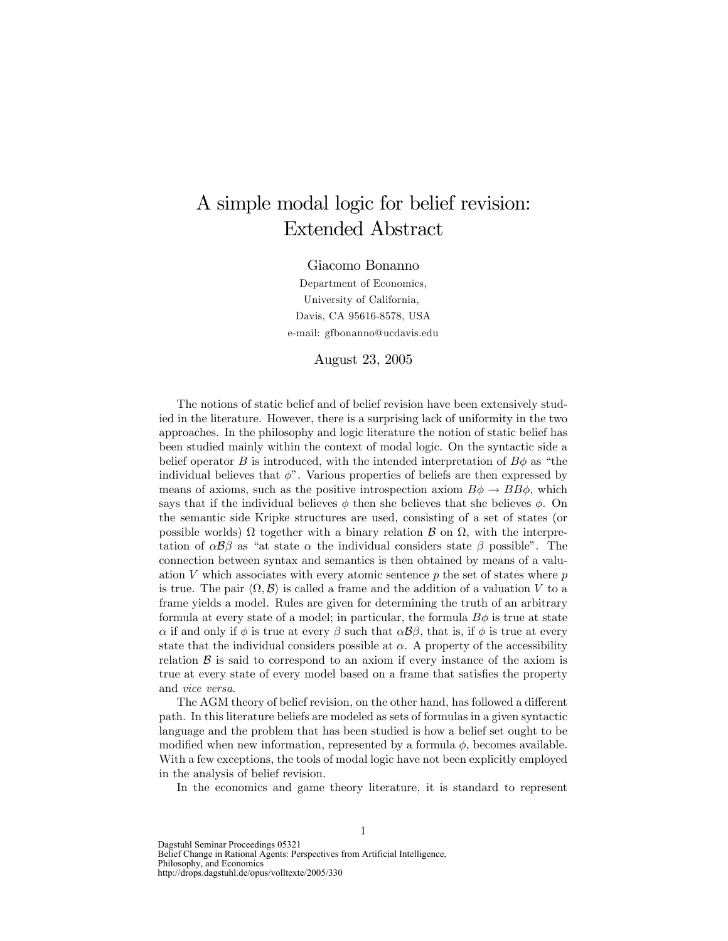## A simple modal logic for belief revision: Extended Abstract

Giacomo Bonanno

Department of Economics, University of California, Davis, CA 95616-8578, USA e-mail: gfbonanno@ucdavis.edu

August 23, 2005

The notions of static belief and of belief revision have been extensively studied in the literature. However, there is a surprising lack of uniformity in the two approaches. In the philosophy and logic literature the notion of static belief has been studied mainly within the context of modal logic. On the syntactic side a belief operator B is introduced, with the intended interpretation of  $B\phi$  as "the individual believes that  $\phi$ . Various properties of beliefs are then expressed by means of axioms, such as the positive introspection axiom  $B\phi \to BB\phi$ , which says that if the individual believes  $\phi$  then she believes that she believes  $\phi$ . On the semantic side Kripke structures are used, consisting of a set of states (or possible worlds)  $\Omega$  together with a binary relation  $\mathcal B$  on  $\Omega$ , with the interpretation of  $\alpha\beta\beta$  as "at state  $\alpha$  the individual considers state  $\beta$  possible". The connection between syntax and semantics is then obtained by means of a valuation  $V$  which associates with every atomic sentence  $p$  the set of states where  $p$ is true. The pair  $\langle \Omega, \mathcal{B} \rangle$  is called a frame and the addition of a valuation V to a frame yields a model. Rules are given for determining the truth of an arbitrary formula at every state of a model; in particular, the formula  $B\phi$  is true at state  $\alpha$  if and only if  $\phi$  is true at every  $\beta$  such that  $\alpha\beta\beta$ , that is, if  $\phi$  is true at every state that the individual considers possible at  $\alpha$ . A property of the accessibility relation  $\beta$  is said to correspond to an axiom if every instance of the axiom is true at every state of every model based on a frame that satisfies the property and vice versa.

The AGM theory of belief revision, on the other hand, has followed a different path. In this literature beliefs are modeled as sets of formulas in a given syntactic language and the problem that has been studied is how a belief set ought to be modified when new information, represented by a formula  $\phi$ , becomes available. With a few exceptions, the tools of modal logic have not been explicitly employed in the analysis of belief revision.

In the economics and game theory literature, it is standard to represent

Dagstuhl Seminar Proceedings 05321 Belief Change in Rational Agents: Perspectives from Artificial Intelligence, Philosophy, and Economics http://drops.dagstuhl.de/opus/volltexte/2005/330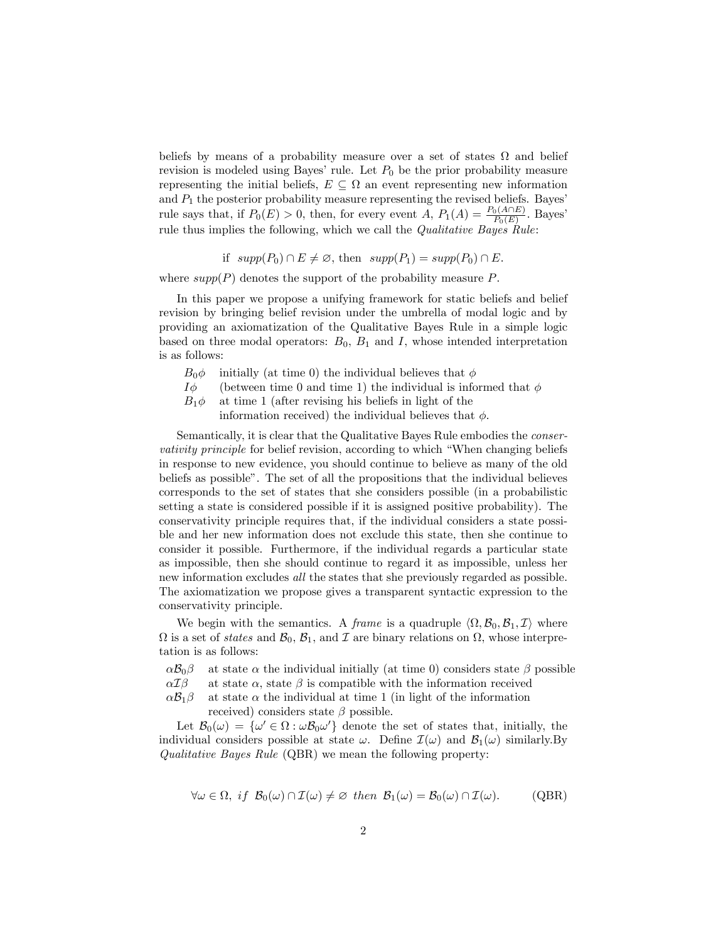beliefs by means of a probability measure over a set of states  $\Omega$  and belief revision is modeled using Bayes' rule. Let  $P_0$  be the prior probability measure representing the initial beliefs,  $E \subseteq \Omega$  an event representing new information and  $P_1$  the posterior probability measure representing the revised beliefs. Bayes' rule says that, if  $P_0(E) > 0$ , then, for every event A,  $P_1(A) = \frac{P_0(A \cap E)}{P_0(E)}$ . Bayes' rule thus implies the following, which we call the *Qualitative Bayes Rule*:

if 
$$
supp(P_0) \cap E \neq \emptyset
$$
, then  $supp(P_1) = supp(P_0) \cap E$ .

where  $supp(P)$  denotes the support of the probability measure  $P$ .

In this paper we propose a unifying framework for static beliefs and belief revision by bringing belief revision under the umbrella of modal logic and by providing an axiomatization of the Qualitative Bayes Rule in a simple logic based on three modal operators:  $B_0$ ,  $B_1$  and I, whose intended interpretation is as follows:

- $B_0 \phi$  initially (at time 0) the individual believes that  $\phi$
- $I\phi$  (between time 0 and time 1) the individual is informed that  $\phi$
- $B_1 \phi$  at time 1 (after revising his beliefs in light of the

information received) the individual believes that  $\phi$ .

Semantically, it is clear that the Qualitative Bayes Rule embodies the conservativity principle for belief revision, according to which "When changing beliefs" in response to new evidence, you should continue to believe as many of the old beliefs as possibleî. The set of all the propositions that the individual believes corresponds to the set of states that she considers possible (in a probabilistic setting a state is considered possible if it is assigned positive probability). The conservativity principle requires that, if the individual considers a state possible and her new information does not exclude this state, then she continue to consider it possible. Furthermore, if the individual regards a particular state as impossible, then she should continue to regard it as impossible, unless her new information excludes all the states that she previously regarded as possible. The axiomatization we propose gives a transparent syntactic expression to the conservativity principle.

We begin with the semantics. A *frame* is a quadruple  $\langle \Omega, \mathcal{B}_0, \mathcal{B}_1, \mathcal{I} \rangle$  where  $\Omega$  is a set of *states* and  $\mathcal{B}_0$ ,  $\mathcal{B}_1$ , and  $\mathcal I$  are binary relations on  $\Omega$ , whose interpretation is as follows:

 $\alpha \mathcal{B}_0$  at state  $\alpha$  the individual initially (at time 0) considers state  $\beta$  possible  $\alpha \mathcal{I}\beta$  at state  $\alpha$ , state  $\beta$  is compatible with the information received

 $\alpha \mathcal{I} \beta$  at state  $\alpha$ , state  $\beta$  is compatible with the information received  $\alpha \mathcal{B}_1 \beta$  at state  $\alpha$  the individual at time 1 (in light of the information

at state  $\alpha$  the individual at time 1 (in light of the information received) considers state  $\beta$  possible.

Let  $\mathcal{B}_0(\omega) = {\omega' \in \Omega : \omega \mathcal{B}_0 \omega'}$  denote the set of states that, initially, the individual considers possible at state  $\omega$ . Define  $\mathcal{I}(\omega)$  and  $\mathcal{B}_1(\omega)$  similarly.By Qualitative Bayes Rule (QBR) we mean the following property:

$$
\forall \omega \in \Omega, \; if \; \mathcal{B}_0(\omega) \cap \mathcal{I}(\omega) \neq \varnothing \; then \; \mathcal{B}_1(\omega) = \mathcal{B}_0(\omega) \cap \mathcal{I}(\omega). \tag{QBR}
$$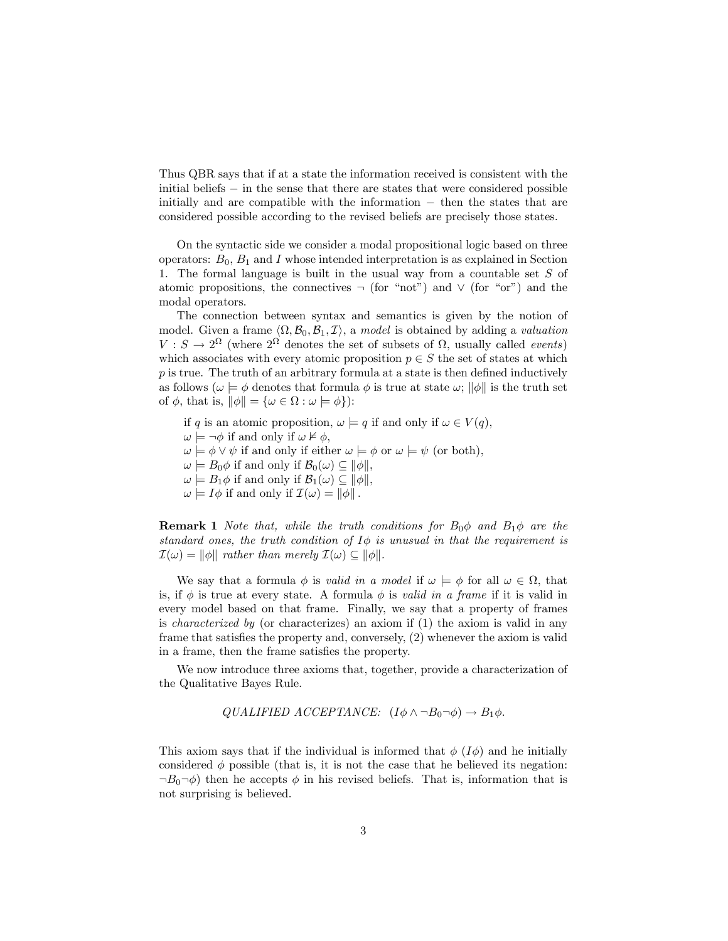Thus QBR says that if at a state the information received is consistent with the initial beliefs  $\overline{\phantom{a}}$  in the sense that there are states that were considered possible initially and are compatible with the information  $-$  then the states that are considered possible according to the revised beliefs are precisely those states.

On the syntactic side we consider a modal propositional logic based on three operators:  $B_0$ ,  $B_1$  and I whose intended interpretation is as explained in Section 1. The formal language is built in the usual way from a countable set  $S$  of atomic propositions, the connectives  $\neg$  (for "not") and  $\vee$  (for "or") and the modal operators.

The connection between syntax and semantics is given by the notion of model. Given a frame  $\langle \Omega, \mathcal{B}_0, \mathcal{B}_1, \mathcal{I} \rangle$ , a model is obtained by adding a valuation  $V : S \to 2^{\Omega}$  (where  $2^{\Omega}$  denotes the set of subsets of  $\Omega$ , usually called *events*) which associates with every atomic proposition  $p \in S$  the set of states at which  $p$  is true. The truth of an arbitrary formula at a state is then defined inductively as follows ( $\omega \models \phi$  denotes that formula  $\phi$  is true at state  $\omega$ ;  $\|\phi\|$  is the truth set of  $\phi$ , that is,  $\|\phi\| = {\omega \in \Omega : \omega \models \phi}$ :

- if q is an atomic proposition,  $\omega \models q$  if and only if  $\omega \in V(q)$ ,
- $\omega \models \neg \phi$  if and only if  $\omega \not\models \phi$ ,
- $\omega \models \phi \vee \psi$  if and only if either  $\omega \models \phi$  or  $\omega \models \psi$  (or both),
- $\omega \models B_0 \phi$  if and only if  $\mathcal{B}_0(\omega) \subseteq ||\phi||$ ,
- $\omega \models B_1 \phi$  if and only if  $\mathcal{B}_1(\omega) \subseteq ||\phi||,$
- $\omega \models I\phi$  if and only if  $\mathcal{I}(\omega) = ||\phi||$ .

**Remark 1** Note that, while the truth conditions for  $B_0\phi$  and  $B_1\phi$  are the standard ones, the truth condition of  $I\phi$  is unusual in that the requirement is  $\mathcal{I}(\omega) = ||\phi||$  rather than merely  $\mathcal{I}(\omega) \subseteq ||\phi||$ .

We say that a formula  $\phi$  is *valid in a model* if  $\omega \models \phi$  for all  $\omega \in \Omega$ , that is, if  $\phi$  is true at every state. A formula  $\phi$  is valid in a frame if it is valid in every model based on that frame. Finally, we say that a property of frames is characterized by (or characterizes) an axiom if (1) the axiom is valid in any frame that satisfies the property and, conversely,  $(2)$  whenever the axiom is valid in a frame, then the frame satisfies the property.

We now introduce three axioms that, together, provide a characterization of the Qualitative Bayes Rule.

$$
QUALIFIED ACCEPTANCE: (I\phi \land \neg B_0 \neg \phi) \rightarrow B_1\phi.
$$

This axiom says that if the individual is informed that  $\phi$  ( $I\phi$ ) and he initially considered  $\phi$  possible (that is, it is not the case that he believed its negation:  $\neg B_0 \neg \phi$ ) then he accepts  $\phi$  in his revised beliefs. That is, information that is not surprising is believed.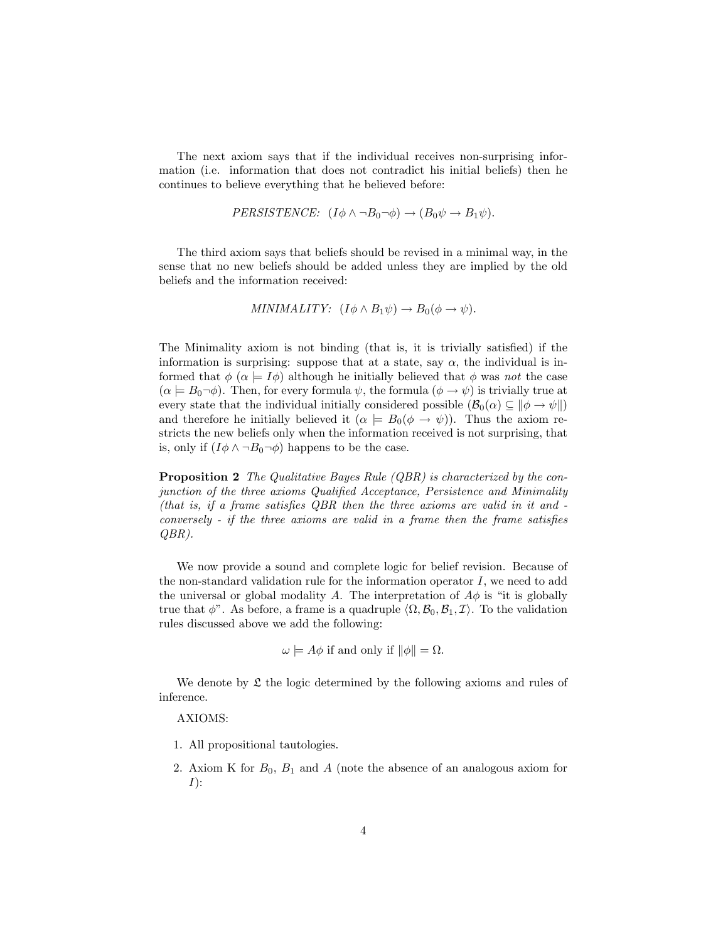The next axiom says that if the individual receives non-surprising information (i.e. information that does not contradict his initial beliefs) then he continues to believe everything that he believed before:

$$
PERSISTENCE: (I\phi \land \neg B_0 \neg \phi) \rightarrow (B_0 \psi \rightarrow B_1 \psi).
$$

The third axiom says that beliefs should be revised in a minimal way, in the sense that no new beliefs should be added unless they are implied by the old beliefs and the information received:

MINIMALITY: 
$$
(I\phi \wedge B_1\psi) \rightarrow B_0(\phi \rightarrow \psi)
$$
.

The Minimality axiom is not binding (that is, it is trivially satisfied) if the information is surprising: suppose that at a state, say  $\alpha$ , the individual is informed that  $\phi$  ( $\alpha \models I\phi$ ) although he initially believed that  $\phi$  was not the case  $(\alpha \models B_0\neg\phi)$ . Then, for every formula  $\psi$ , the formula  $(\phi \rightarrow \psi)$  is trivially true at every state that the individual initially considered possible  $(\mathcal{B}_0(\alpha) \subseteq ||\phi \to \psi||)$ and therefore he initially believed it  $(\alpha \models B_0(\phi \rightarrow \psi))$ . Thus the axiom restricts the new beliefs only when the information received is not surprising, that is, only if  $(I\phi \wedge \neg B_0 \neg \phi)$  happens to be the case.

**Proposition 2** The Qualitative Bayes Rule (QBR) is characterized by the conjunction of the three axioms Qualified Acceptance, Persistence and Minimality (that is, if a frame satisfies  $QBR$  then the three axioms are valid in it and  $$  $conversely - if the three axioms are valid in a frame then the frame satisfies$ QBR).

We now provide a sound and complete logic for belief revision. Because of the non-standard validation rule for the information operator  $I$ , we need to add the universal or global modality A. The interpretation of  $A\phi$  is "it is globally true that  $\phi$ <sup>"</sup>. As before, a frame is a quadruple  $\langle \Omega, \mathcal{B}_0, \mathcal{B}_1, \mathcal{I} \rangle$ . To the validation rules discussed above we add the following:

$$
\omega \models A\phi \text{ if and only if } \|\phi\| = \Omega.
$$

We denote by  $\mathfrak L$  the logic determined by the following axioms and rules of inference.

## AXIOMS:

- 1. All propositional tautologies.
- 2. Axiom K for  $B_0$ ,  $B_1$  and A (note the absence of an analogous axiom for  $I)$ :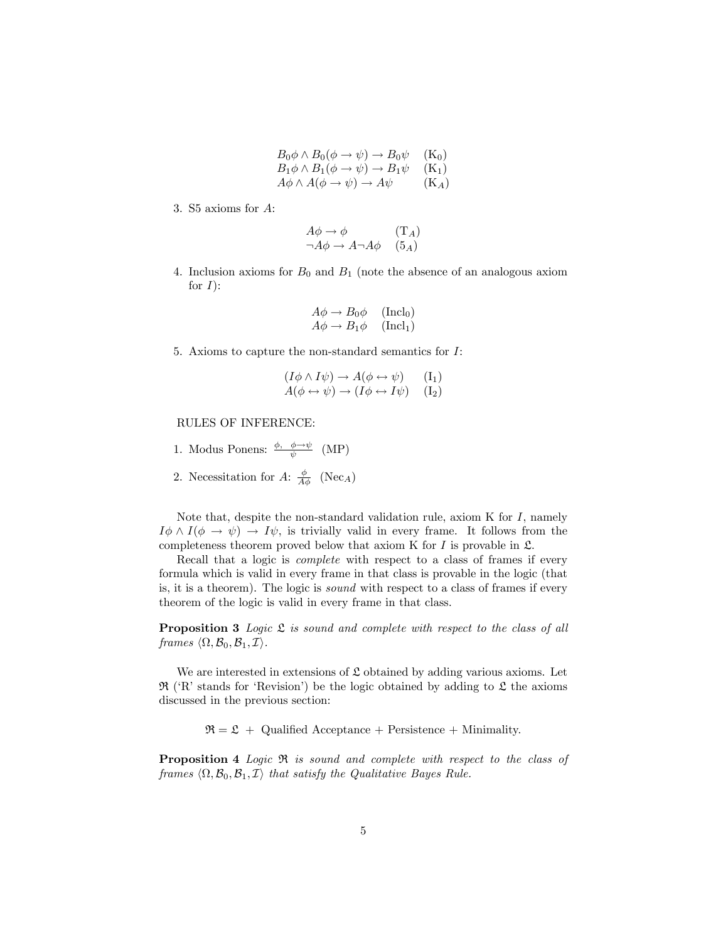| $B_0\phi \wedge B_0(\phi \to \psi) \to B_0\psi$           | $(K_0)$ |
|-----------------------------------------------------------|---------|
| $B_1\phi \wedge B_1(\phi \to \psi) \to B_1\psi$           | $(K_1)$ |
| $A\phi \wedge A(\phi \rightarrow \psi) \rightarrow A\psi$ | $(K_A)$ |

3. S5 axioms for A:

$$
A\phi \to \phi \qquad (\mathbf{T}_A)
$$
  

$$
\neg A\phi \to A\neg A\phi \qquad (5_A)
$$

4. Inclusion axioms for  $B_0$  and  $B_1$  (note the absence of an analogous axiom for  $I$ :

$$
A\phi \to B_0\phi \quad (\text{Incl}_0)
$$
  

$$
A\phi \to B_1\phi \quad (\text{Incl}_1)
$$

5. Axioms to capture the non-standard semantics for I:

$$
(I\phi \land I\psi) \to A(\phi \leftrightarrow \psi) \qquad (I_1)
$$
  
 
$$
A(\phi \leftrightarrow \psi) \to (I\phi \leftrightarrow I\psi) \qquad (I_2)
$$

## RULES OF INFERENCE:

- 1. Modus Ponens:  $\frac{\phi, \phi \rightarrow \psi}{\psi}$  (MP)
- 2. Necessitation for A:  $\frac{\phi}{A\phi}$  (Nec<sub>A</sub>)

Note that, despite the non-standard validation rule, axiom  $K$  for  $I$ , namely  $I \phi \wedge I(\phi \to \psi) \to I \psi$ , is trivially valid in every frame. It follows from the completeness theorem proved below that axiom K for  $I$  is provable in  $\mathfrak{L}$ .

Recall that a logic is *complete* with respect to a class of frames if every formula which is valid in every frame in that class is provable in the logic (that is, it is a theorem). The logic is sound with respect to a class of frames if every theorem of the logic is valid in every frame in that class.

**Proposition 3** Logic  $\mathfrak L$  is sound and complete with respect to the class of all frames  $\langle \Omega, \mathcal{B}_0, \mathcal{B}_1, \mathcal{I} \rangle$ .

We are interested in extensions of  $\mathfrak L$  obtained by adding various axioms. Let  $\mathfrak{R}$  ('R' stands for 'Revision') be the logic obtained by adding to  $\mathfrak{L}$  the axioms discussed in the previous section:

 $\mathfrak{R} = \mathfrak{L} +$  Qualified Acceptance + Persistence + Minimality.

Proposition 4 Logic  $\Re$  is sound and complete with respect to the class of frames  $\langle \Omega, \mathcal{B}_0, \mathcal{B}_1, \mathcal{I} \rangle$  that satisfy the Qualitative Bayes Rule.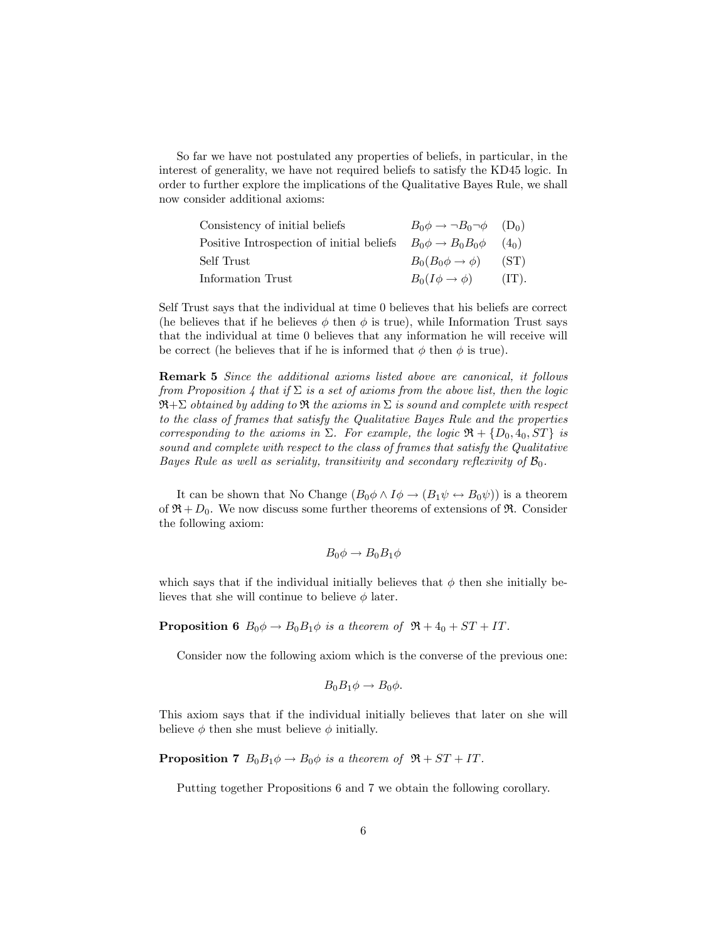So far we have not postulated any properties of beliefs, in particular, in the interest of generality, we have not required beliefs to satisfy the KD45 logic. In order to further explore the implications of the Qualitative Bayes Rule, we shall now consider additional axioms:

| Consistency of initial beliefs                                        | $B_0 \phi \rightarrow \neg B_0 \neg \phi$ (D <sub>0</sub> ) |          |
|-----------------------------------------------------------------------|-------------------------------------------------------------|----------|
| Positive Introspection of initial beliefs $B_0 \phi \to B_0 B_0 \phi$ |                                                             | $(4_0)$  |
| Self Trust                                                            | $B_0(B_0\phi\to\phi)$                                       | (ST)     |
| Information Trust                                                     | $B_0(I\phi\to\phi)$                                         | $(TT)$ . |

Self Trust says that the individual at time 0 believes that his beliefs are correct (he believes that if he believes  $\phi$  then  $\phi$  is true), while Information Trust says that the individual at time 0 believes that any information he will receive will be correct (he believes that if he is informed that  $\phi$  then  $\phi$  is true).

Remark 5 Since the additional axioms listed above are canonical, it follows from Proposition 4 that if  $\Sigma$  is a set of axioms from the above list, then the logic  $\mathfrak{R}+\Sigma$  obtained by adding to  $\mathfrak R$  the axioms in  $\Sigma$  is sound and complete with respect to the class of frames that satisfy the Qualitative Bayes Rule and the properties corresponding to the axioms in  $\Sigma$ . For example, the logic  $\mathfrak{R} + \{D_0, 4_0, ST\}$  is sound and complete with respect to the class of frames that satisfy the Qualitative Bayes Rule as well as seriality, transitivity and secondary reflexivity of  $\mathcal{B}_0$ .

It can be shown that No Change  $(B_0 \phi \land I \phi \rightarrow (B_1 \psi \leftrightarrow B_0 \psi))$  is a theorem of  $\mathfrak{R} + D_0$ . We now discuss some further theorems of extensions of  $\mathfrak{R}$ . Consider the following axiom:

$$
B_0\phi \to B_0B_1\phi
$$

which says that if the individual initially believes that  $\phi$  then she initially believes that she will continue to believe  $\phi$  later.

**Proposition 6**  $B_0 \phi \rightarrow B_0 B_1 \phi$  is a theorem of  $\Re + 4_0 + ST + IT$ .

Consider now the following axiom which is the converse of the previous one:

$$
B_0B_1\phi \to B_0\phi.
$$

This axiom says that if the individual initially believes that later on she will believe  $\phi$  then she must believe  $\phi$  initially.

**Proposition 7**  $B_0B_1\phi \rightarrow B_0\phi$  is a theorem of  $\mathfrak{R} + ST + IT$ .

Putting together Propositions 6 and 7 we obtain the following corollary.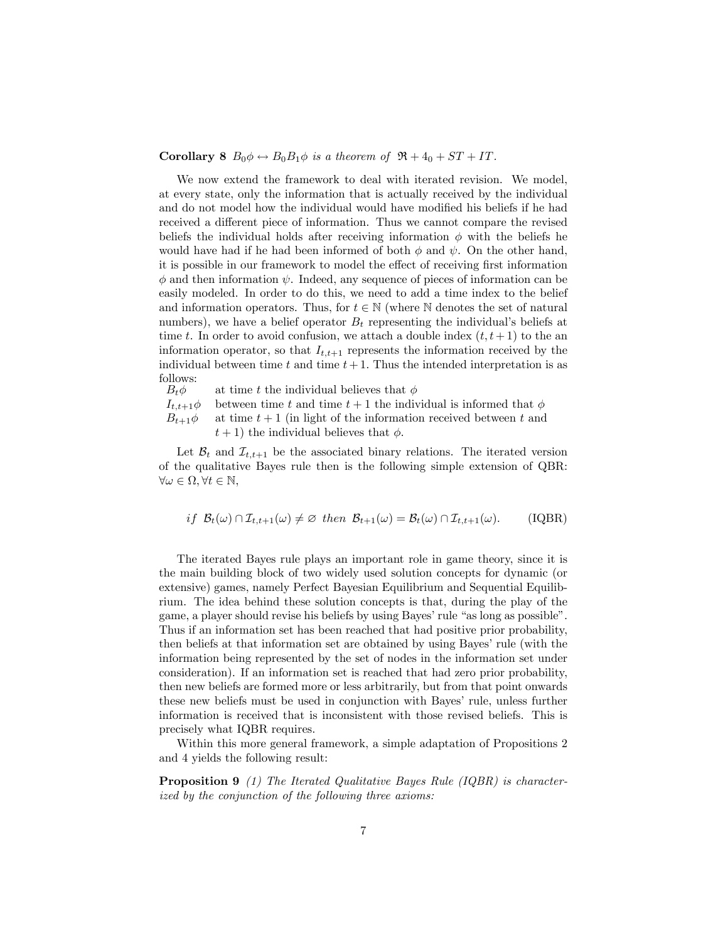**Corollary 8**  $B_0 \phi \leftrightarrow B_0 B_1 \phi$  is a theorem of  $\mathfrak{R} + 4_0 + ST + IT$ .

We now extend the framework to deal with iterated revision. We model, at every state, only the information that is actually received by the individual and do not model how the individual would have modified his beliefs if he had received a different piece of information. Thus we cannot compare the revised beliefs the individual holds after receiving information  $\phi$  with the beliefs he would have had if he had been informed of both  $\phi$  and  $\psi$ . On the other hand, it is possible in our framework to model the effect of receiving first information  $\phi$  and then information  $\psi$ . Indeed, any sequence of pieces of information can be easily modeled. In order to do this, we need to add a time index to the belief and information operators. Thus, for  $t \in \mathbb{N}$  (where N denotes the set of natural numbers), we have a belief operator  $B_t$  representing the individual's beliefs at time t. In order to avoid confusion, we attach a double index  $(t, t + 1)$  to the an information operator, so that  $I_{t,t+1}$  represents the information received by the individual between time t and time  $t+1$ . Thus the intended interpretation is as follows:<br> $B_t \phi$ 

at time t the individual believes that  $\phi$ 

 $I_{t,t+1}\phi$  between time t and time  $t+1$  the individual is informed that  $\phi$ 

 $B_{t+1}\phi$  at time  $t+1$  (in light of the information received between t and  $t + 1$ ) the individual believes that  $\phi$ .

Let  $\mathcal{B}_t$  and  $\mathcal{I}_{t,t+1}$  be the associated binary relations. The iterated version of the qualitative Bayes rule then is the following simple extension of QBR:  $\forall \omega \in \Omega, \forall t \in \mathbb{N},$ 

$$
if \ \mathcal{B}_t(\omega) \cap \mathcal{I}_{t,t+1}(\omega) \neq \varnothing \ then \ \mathcal{B}_{t+1}(\omega) = \mathcal{B}_t(\omega) \cap \mathcal{I}_{t,t+1}(\omega). \tag{IQBR}
$$

The iterated Bayes rule plays an important role in game theory, since it is the main building block of two widely used solution concepts for dynamic (or extensive) games, namely Perfect Bayesian Equilibrium and Sequential Equilibrium. The idea behind these solution concepts is that, during the play of the game, a player should revise his beliefs by using Bayes' rule "as long as possible". Thus if an information set has been reached that had positive prior probability, then beliefs at that information set are obtained by using Bayes' rule (with the information being represented by the set of nodes in the information set under consideration). If an information set is reached that had zero prior probability, then new beliefs are formed more or less arbitrarily, but from that point onwards these new beliefs must be used in conjunction with Bayes' rule, unless further information is received that is inconsistent with those revised beliefs. This is precisely what IQBR requires.

Within this more general framework, a simple adaptation of Propositions 2 and 4 yields the following result:

Proposition 9 (1) The Iterated Qualitative Bayes Rule (IQBR) is characterized by the conjunction of the following three axioms: